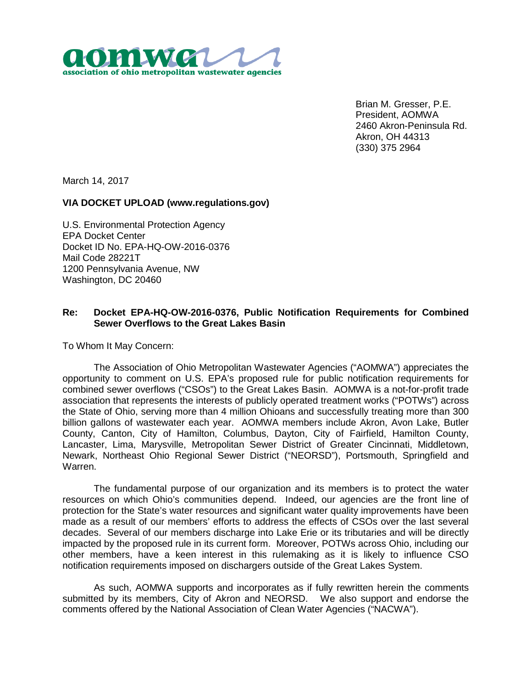

Brian M. Gresser, P.E. President, AOMWA 2460 Akron-Peninsula Rd. Akron, OH 44313 (330) 375 2964

March 14, 2017

## **VIA DOCKET UPLOAD (www.regulations.gov)**

U.S. Environmental Protection Agency EPA Docket Center Docket ID No. EPA-HQ-OW-2016-0376 Mail Code 28221T 1200 Pennsylvania Avenue, NW Washington, DC 20460

## **Re: Docket EPA-HQ-OW-2016-0376, Public Notification Requirements for Combined Sewer Overflows to the Great Lakes Basin**

To Whom It May Concern:

The Association of Ohio Metropolitan Wastewater Agencies ("AOMWA") appreciates the opportunity to comment on U.S. EPA's proposed rule for public notification requirements for combined sewer overflows ("CSOs") to the Great Lakes Basin. AOMWA is a not-for-profit trade association that represents the interests of publicly operated treatment works ("POTWs") across the State of Ohio, serving more than 4 million Ohioans and successfully treating more than 300 billion gallons of wastewater each year. AOMWA members include Akron, Avon Lake, Butler County, Canton, City of Hamilton, Columbus, Dayton, City of Fairfield, Hamilton County, Lancaster, Lima, Marysville, Metropolitan Sewer District of Greater Cincinnati, Middletown, Newark, Northeast Ohio Regional Sewer District ("NEORSD"), Portsmouth, Springfield and Warren.

The fundamental purpose of our organization and its members is to protect the water resources on which Ohio's communities depend. Indeed, our agencies are the front line of protection for the State's water resources and significant water quality improvements have been made as a result of our members' efforts to address the effects of CSOs over the last several decades. Several of our members discharge into Lake Erie or its tributaries and will be directly impacted by the proposed rule in its current form. Moreover, POTWs across Ohio, including our other members, have a keen interest in this rulemaking as it is likely to influence CSO notification requirements imposed on dischargers outside of the Great Lakes System.

As such, AOMWA supports and incorporates as if fully rewritten herein the comments submitted by its members, City of Akron and NEORSD. We also support and endorse the comments offered by the National Association of Clean Water Agencies ("NACWA").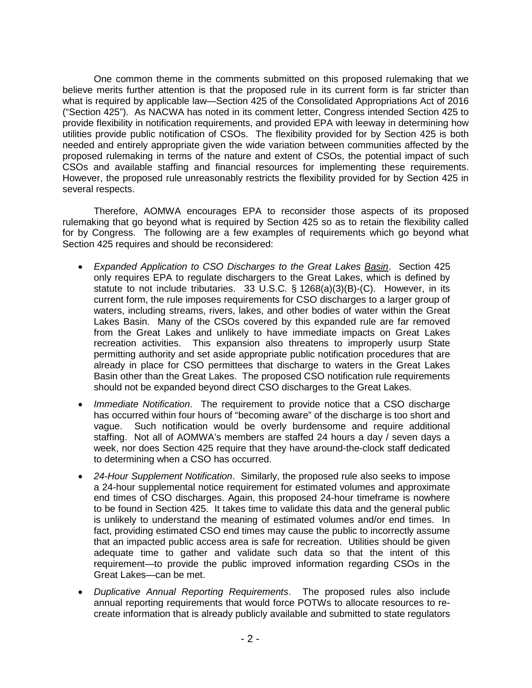One common theme in the comments submitted on this proposed rulemaking that we believe merits further attention is that the proposed rule in its current form is far stricter than what is required by applicable law—Section 425 of the Consolidated Appropriations Act of 2016 ("Section 425"). As NACWA has noted in its comment letter, Congress intended Section 425 to provide flexibility in notification requirements, and provided EPA with leeway in determining how utilities provide public notification of CSOs. The flexibility provided for by Section 425 is both needed and entirely appropriate given the wide variation between communities affected by the proposed rulemaking in terms of the nature and extent of CSOs, the potential impact of such CSOs and available staffing and financial resources for implementing these requirements. However, the proposed rule unreasonably restricts the flexibility provided for by Section 425 in several respects.

Therefore, AOMWA encourages EPA to reconsider those aspects of its proposed rulemaking that go beyond what is required by Section 425 so as to retain the flexibility called for by Congress. The following are a few examples of requirements which go beyond what Section 425 requires and should be reconsidered:

- *Expanded Application to CSO Discharges to the Great Lakes Basin*. Section 425 only requires EPA to regulate dischargers to the Great Lakes, which is defined by statute to not include tributaries. 33 U.S.C. § 1268(a)(3)(B)-(C). However, in its current form, the rule imposes requirements for CSO discharges to a larger group of waters, including streams, rivers, lakes, and other bodies of water within the Great Lakes Basin. Many of the CSOs covered by this expanded rule are far removed from the Great Lakes and unlikely to have immediate impacts on Great Lakes recreation activities. This expansion also threatens to improperly usurp State permitting authority and set aside appropriate public notification procedures that are already in place for CSO permittees that discharge to waters in the Great Lakes Basin other than the Great Lakes. The proposed CSO notification rule requirements should not be expanded beyond direct CSO discharges to the Great Lakes.
- *Immediate Notification*. The requirement to provide notice that a CSO discharge has occurred within four hours of "becoming aware" of the discharge is too short and vague. Such notification would be overly burdensome and require additional staffing. Not all of AOMWA's members are staffed 24 hours a day / seven days a week, nor does Section 425 require that they have around-the-clock staff dedicated to determining when a CSO has occurred.
- *24-Hour Supplement Notification*. Similarly, the proposed rule also seeks to impose a 24-hour supplemental notice requirement for estimated volumes and approximate end times of CSO discharges. Again, this proposed 24-hour timeframe is nowhere to be found in Section 425. It takes time to validate this data and the general public is unlikely to understand the meaning of estimated volumes and/or end times. In fact, providing estimated CSO end times may cause the public to incorrectly assume that an impacted public access area is safe for recreation. Utilities should be given adequate time to gather and validate such data so that the intent of this requirement—to provide the public improved information regarding CSOs in the Great Lakes—can be met.
- *Duplicative Annual Reporting Requirements*. The proposed rules also include annual reporting requirements that would force POTWs to allocate resources to recreate information that is already publicly available and submitted to state regulators